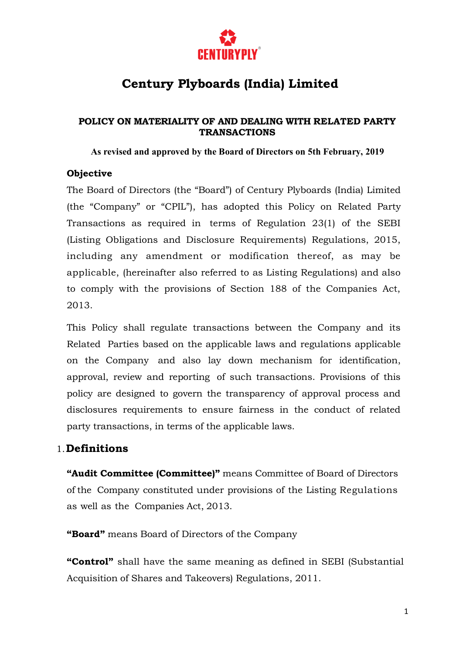

# **Century Plyboards (India) Limited**

### **POLICY ON MATERIALITY OF AND DEALING WITH RELATED PARTY TRANSACTIONS**

**As revised and approved by the Board of Directors on 5th February, 2019**

### **Objective**

The Board of Directors (the "Board") of Century Plyboards (India) Limited (the "Company" or "CPIL"), has adopted this Policy on Related Party Transactions as required in terms of Regulation 23(1) of the SEBI (Listing Obligations and Disclosure Requirements) Regulations, 2015, including any amendment or modification thereof, as may be applicable, (hereinafter also referred to as Listing Regulations) and also to comply with the provisions of Section 188 of the Companies Act, 2013.

This Policy shall regulate transactions between the Company and its Related Parties based on the applicable laws and regulations applicable on the Company and also lay down mechanism for identification, approval, review and reporting of such transactions. Provisions of this policy are designed to govern the transparency of approval process and disclosures requirements to ensure fairness in the conduct of related party transactions, in terms of the applicable laws.

## 1.**Definitions**

**"Audit Committee (Committee)"** means Committee of Board of Directors of the Company constituted under provisions of the Listing Regulations as well as the Companies Act, 2013.

**"Board"** means Board of Directors of the Company

**"Control"** shall have the same meaning as defined in SEBI (Substantial Acquisition of Shares and Takeovers) Regulations, 2011.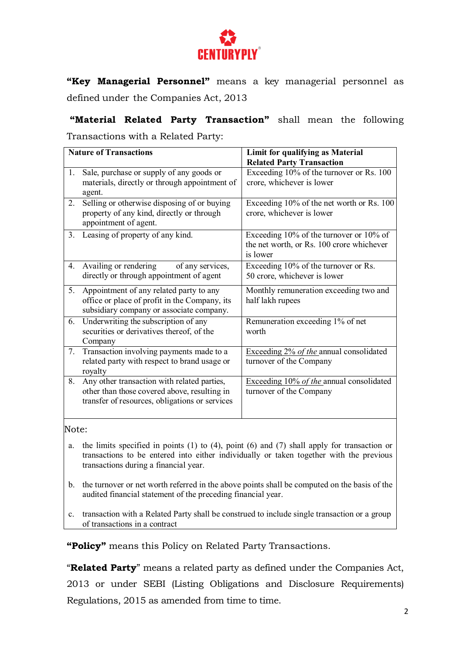

**"Key Managerial Personnel"** means a key managerial personnel as defined under the Companies Act, 2013

**"Material Related Party Transaction"** shall mean the following Transactions with a Related Party:

| <b>Nature of Transactions</b> |                                                | Limit for qualifying as Material          |
|-------------------------------|------------------------------------------------|-------------------------------------------|
|                               |                                                | <b>Related Party Transaction</b>          |
| 1.                            | Sale, purchase or supply of any goods or       | Exceeding 10% of the turnover or Rs. 100  |
|                               | materials, directly or through appointment of  | crore, whichever is lower                 |
|                               | agent.                                         |                                           |
| 2.                            | Selling or otherwise disposing of or buying    | Exceeding 10% of the net worth or Rs. 100 |
|                               | property of any kind, directly or through      | crore, whichever is lower                 |
|                               | appointment of agent.                          |                                           |
| 3.                            | Leasing of property of any kind.               | Exceeding 10% of the turnover or 10% of   |
|                               |                                                | the net worth, or Rs. 100 crore whichever |
|                               |                                                | is lower                                  |
| 4.                            | Availing or rendering<br>of any services,      | Exceeding 10% of the turnover or Rs.      |
|                               | directly or through appointment of agent       | 50 crore, whichever is lower              |
| 5.                            | Appointment of any related party to any        | Monthly remuneration exceeding two and    |
|                               | office or place of profit in the Company, its  | half lakh rupees                          |
|                               | subsidiary company or associate company.       |                                           |
| 6.                            | Underwriting the subscription of any           | Remuneration exceeding 1% of net          |
|                               | securities or derivatives thereof, of the      | worth                                     |
|                               | Company                                        |                                           |
| 7.                            | Transaction involving payments made to a       | Exceeding 2% of the annual consolidated   |
|                               | related party with respect to brand usage or   | turnover of the Company                   |
|                               | royalty                                        |                                           |
| 8.                            | Any other transaction with related parties,    | Exceeding 10% of the annual consolidated  |
|                               | other than those covered above, resulting in   | turnover of the Company                   |
|                               | transfer of resources, obligations or services |                                           |
|                               |                                                |                                           |

Note:

- a. the limits specified in points (1) to (4), point (6) and (7) shall apply for transaction or transactions to be entered into either individually or taken together with the previous transactions during a financial year.
- b. the turnover or net worth referred in the above points shall be computed on the basis of the audited financial statement of the preceding financial year.
- c. transaction with a Related Party shall be construed to include single transaction or a group of transactions in a contract

**"Policy"** means this Policy on Related Party Transactions.

"**Related Party**" means a related party as defined under the Companies Act, 2013 or under SEBI (Listing Obligations and Disclosure Requirements) Regulations, 2015 as amended from time to time.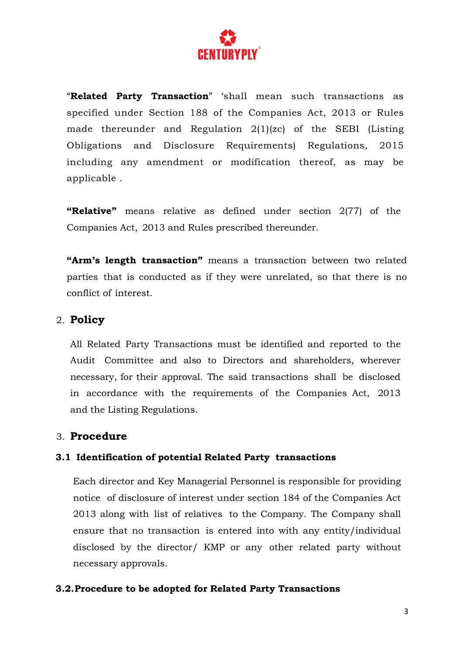

"**Related Party Transaction**" 'shall mean such transactions as specified under Section 188 of the Companies Act, 2013 or Rules made thereunder and Regulation 2(1)(zc) of the SEBI (Listing Obligations and Disclosure Requirements) Regulations, 2015 including any amendment or modification thereof, as may be applicable .

**"Relative"** means relative as defined under section 2(77) of the Companies Act, 2013 and Rules prescribed thereunder.

**"Arm's length transaction"** means a transaction between two related parties that is conducted as if they were unrelated, so that there is no conflict of interest.

## 2. **Policy**

All Related Party Transactions must be identified and reported to the Audit Committee and also to Directors and shareholders, wherever necessary, for their approval. The said transactions shall be disclosed in accordance with the requirements of the Companies Act, 2013 and the Listing Regulations.

## 3. **Procedure**

### **3.1 Identification of potential Related Party transactions**

Each director and Key Managerial Personnel is responsible for providing notice of disclosure of interest under section 184 of the Companies Act 2013 along with list of relatives to the Company. The Company shall ensure that no transaction is entered into with any entity/individual disclosed by the director/ KMP or any other related party without necessary approvals.

#### **3.2.Procedure to be adopted for Related Party Transactions**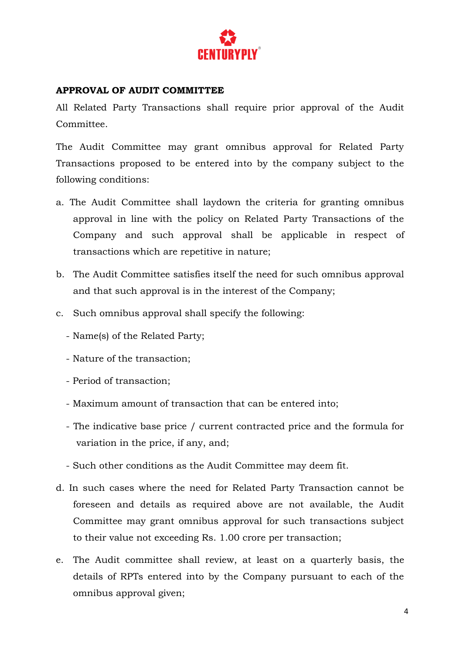

### **APPROVAL OF AUDIT COMMITTEE**

All Related Party Transactions shall require prior approval of the Audit Committee.

The Audit Committee may grant omnibus approval for Related Party Transactions proposed to be entered into by the company subject to the following conditions:

- a. The Audit Committee shall laydown the criteria for granting omnibus approval in line with the policy on Related Party Transactions of the Company and such approval shall be applicable in respect of transactions which are repetitive in nature;
- b. The Audit Committee satisfies itself the need for such omnibus approval and that such approval is in the interest of the Company;
- c. Such omnibus approval shall specify the following:
	- Name(s) of the Related Party;
	- Nature of the transaction;
	- Period of transaction;
	- Maximum amount of transaction that can be entered into;
	- The indicative base price / current contracted price and the formula for variation in the price, if any, and;
	- Such other conditions as the Audit Committee may deem fit.
- d. In such cases where the need for Related Party Transaction cannot be foreseen and details as required above are not available, the Audit Committee may grant omnibus approval for such transactions subject to their value not exceeding Rs. 1.00 crore per transaction;
- e. The Audit committee shall review, at least on a quarterly basis, the details of RPTs entered into by the Company pursuant to each of the omnibus approval given;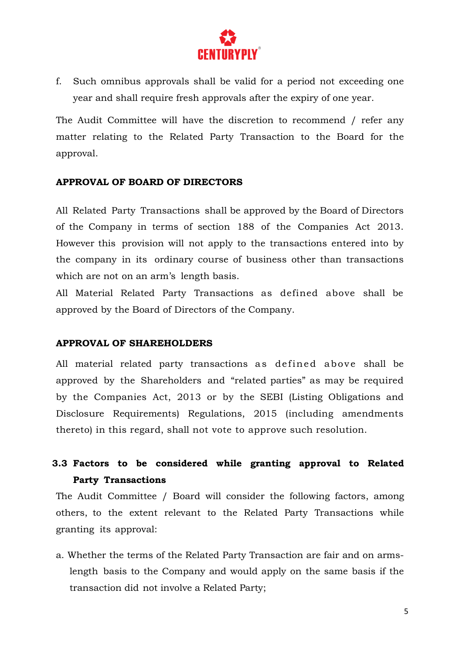

f. Such omnibus approvals shall be valid for a period not exceeding one year and shall require fresh approvals after the expiry of one year.

The Audit Committee will have the discretion to recommend / refer any matter relating to the Related Party Transaction to the Board for the approval.

### **APPROVAL OF BOARD OF DIRECTORS**

All Related Party Transactions shall be approved by the Board of Directors of the Company in terms of section 188 of the Companies Act 2013. However this provision will not apply to the transactions entered into by the company in its ordinary course of business other than transactions which are not on an arm's length basis.

All Material Related Party Transactions as defined above shall be approved by the Board of Directors of the Company.

#### **APPROVAL OF SHAREHOLDERS**

All material related party transactions as defined above shall be approved by the Shareholders and "related parties" as may be required by the Companies Act, 2013 or by the SEBI (Listing Obligations and Disclosure Requirements) Regulations, 2015 (including amendments thereto) in this regard, shall not vote to approve such resolution.

## **3.3 Factors to be considered while granting approval to Related Party Transactions**

The Audit Committee / Board will consider the following factors, among others, to the extent relevant to the Related Party Transactions while granting its approval:

a. Whether the terms of the Related Party Transaction are fair and on armslength basis to the Company and would apply on the same basis if the transaction did not involve a Related Party;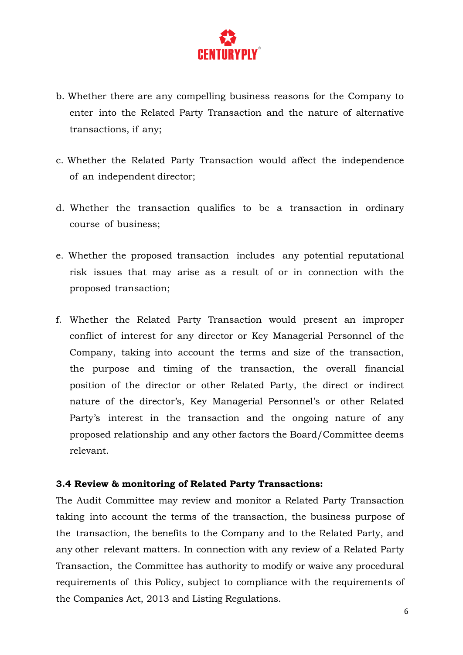

- b. Whether there are any compelling business reasons for the Company to enter into the Related Party Transaction and the nature of alternative transactions, if any;
- c. Whether the Related Party Transaction would affect the independence of an independent director;
- d. Whether the transaction qualifies to be a transaction in ordinary course of business;
- e. Whether the proposed transaction includes any potential reputational risk issues that may arise as a result of or in connection with the proposed transaction;
- f. Whether the Related Party Transaction would present an improper conflict of interest for any director or Key Managerial Personnel of the Company, taking into account the terms and size of the transaction, the purpose and timing of the transaction, the overall financial position of the director or other Related Party, the direct or indirect nature of the director's, Key Managerial Personnel's or other Related Party's interest in the transaction and the ongoing nature of any proposed relationship and any other factors the Board/Committee deems relevant.

#### **3.4 Review & monitoring of Related Party Transactions:**

The Audit Committee may review and monitor a Related Party Transaction taking into account the terms of the transaction, the business purpose of the transaction, the benefits to the Company and to the Related Party, and any other relevant matters. In connection with any review of a Related Party Transaction, the Committee has authority to modify or waive any procedural requirements of this Policy, subject to compliance with the requirements of the Companies Act, 2013 and Listing Regulations.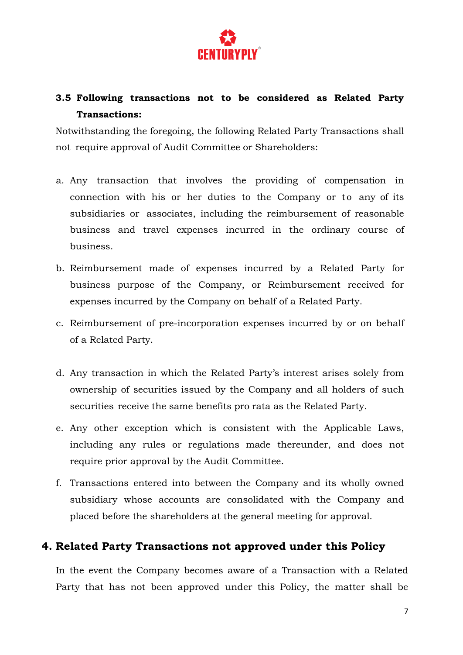

## **3.5 Following transactions not to be considered as Related Party Transactions:**

Notwithstanding the foregoing, the following Related Party Transactions shall not require approval of Audit Committee or Shareholders:

- a. Any transaction that involves the providing of compensation in connection with his or her duties to the Company or to any of its subsidiaries or associates, including the reimbursement of reasonable business and travel expenses incurred in the ordinary course of business.
- b. Reimbursement made of expenses incurred by a Related Party for business purpose of the Company, or Reimbursement received for expenses incurred by the Company on behalf of a Related Party.
- c. Reimbursement of pre-incorporation expenses incurred by or on behalf of a Related Party.
- d. Any transaction in which the Related Party's interest arises solely from ownership of securities issued by the Company and all holders of such securities receive the same benefits pro rata as the Related Party.
- e. Any other exception which is consistent with the Applicable Laws, including any rules or regulations made thereunder, and does not require prior approval by the Audit Committee.
- f. Transactions entered into between the Company and its wholly owned subsidiary whose accounts are consolidated with the Company and placed before the shareholders at the general meeting for approval.

## **4. Related Party Transactions not approved under this Policy**

In the event the Company becomes aware of a Transaction with a Related Party that has not been approved under this Policy, the matter shall be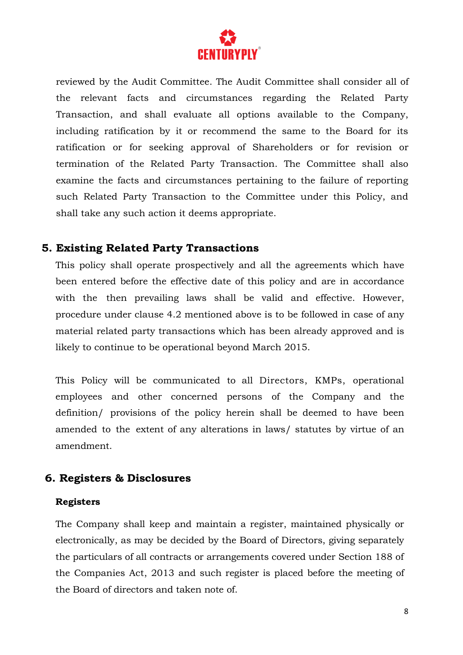

reviewed by the Audit Committee. The Audit Committee shall consider all of the relevant facts and circumstances regarding the Related Party Transaction, and shall evaluate all options available to the Company, including ratification by it or recommend the same to the Board for its ratification or for seeking approval of Shareholders or for revision or termination of the Related Party Transaction. The Committee shall also examine the facts and circumstances pertaining to the failure of reporting such Related Party Transaction to the Committee under this Policy, and shall take any such action it deems appropriate.

## **5. Existing Related Party Transactions**

This policy shall operate prospectively and all the agreements which have been entered before the effective date of this policy and are in accordance with the then prevailing laws shall be valid and effective. However, procedure under clause 4.2 mentioned above is to be followed in case of any material related party transactions which has been already approved and is likely to continue to be operational beyond March 2015.

This Policy will be communicated to all Directors, KMPs, operational employees and other concerned persons of the Company and the definition/ provisions of the policy herein shall be deemed to have been amended to the extent of any alterations in laws/ statutes by virtue of an amendment.

## **6. Registers & Disclosures**

### **Registers**

The Company shall keep and maintain a register, maintained physically or electronically, as may be decided by the Board of Directors, giving separately the particulars of all contracts or arrangements covered under Section 188 of the Companies Act, 2013 and such register is placed before the meeting of the Board of directors and taken note of.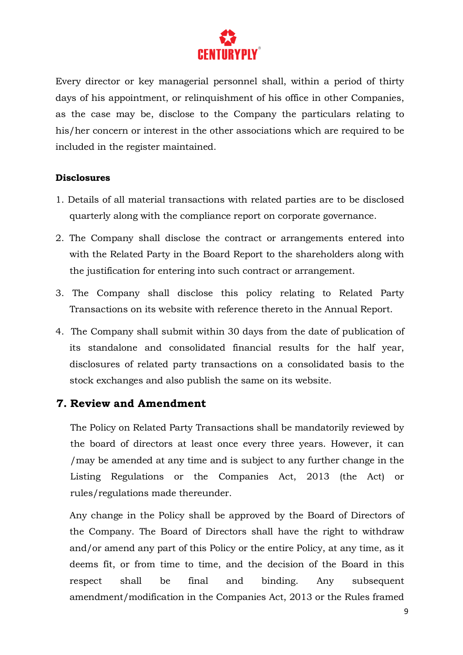

Every director or key managerial personnel shall, within a period of thirty days of his appointment, or relinquishment of his office in other Companies, as the case may be, disclose to the Company the particulars relating to his/her concern or interest in the other associations which are required to be included in the register maintained.

### **Disclosures**

- 1. Details of all material transactions with related parties are to be disclosed quarterly along with the compliance report on corporate governance.
- 2. The Company shall disclose the contract or arrangements entered into with the Related Party in the Board Report to the shareholders along with the justification for entering into such contract or arrangement.
- 3. The Company shall disclose this policy relating to Related Party Transactions on its website with reference thereto in the Annual Report.
- 4. The Company shall submit within 30 days from the date of publication of its standalone and consolidated financial results for the half year, disclosures of related party transactions on a consolidated basis to the stock exchanges and also publish the same on its website.

## **7. Review and Amendment**

The Policy on Related Party Transactions shall be mandatorily reviewed by the board of directors at least once every three years. However, it can /may be amended at any time and is subject to any further change in the Listing Regulations or the Companies Act, 2013 (the Act) or rules/regulations made thereunder.

Any change in the Policy shall be approved by the Board of Directors of the Company. The Board of Directors shall have the right to withdraw and/or amend any part of this Policy or the entire Policy, at any time, as it deems fit, or from time to time, and the decision of the Board in this respect shall be final and binding. Any subsequent amendment/modification in the Companies Act, 2013 or the Rules framed